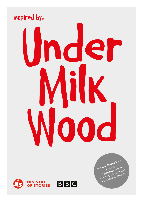



For Key Stages 3 & 4 Descriptive Writing Writing about Places Creating Characters

# Inspired by... Inder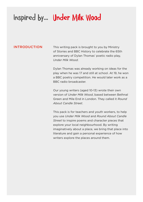### Inspired by... Under Milk Wood

#### INTRODUCTION

This writing pack is brought to you by Ministry of Stories and BBC History to celebrate the 65th anniversary of Dylan Thomas' poetic radio play, *Under Milk Wood*.

Dylan Thomas was already working on ideas for the play when he was 17 and still at school. At 19, he won a BBC poetry competition. He would later work as a BBC radio broadcaster.

Our young writers (aged 10-13) wrote their own version of *Under Milk Wood*, based between Bethnal Green and Mile End in London. They called it *Round About Candle Street*.

This pack is for teachers and youth workers, to help you use *Under Milk Wood* and *Round About Candle Street* to inspire poems and character pieces that explore your local neighbourhood. By writing imaginatively about a place, we bring that place into literature and gain a personal experience of how writers explore the places around them.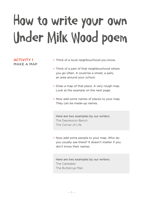## How to write your own under Milk Wood poem

#### ACTIVITY 1 MAKE A MAP

- Think of a local neighbourhood you know.
- Think of a part of that neighbourhood where you go often. It could be a street, a park, an area around your school.
- Draw a map of that place. A very rough map. Look at the example on the next page.
- Now add some names of places to your map. They can be made-up names.

Here are two examples by our writers: The Depression Bench The Corner of Life

• Now add some people to your map. Who do you usually see there? It doesn't matter if you don't know their names.

Here are two examples by our writers: The Caretaker The Buttercup Man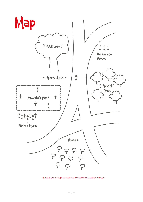

Based on a map by Samiul, Ministry of Stories writer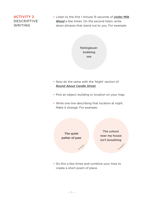#### ACTIVITY 2 DESCRIPTIVE WRITING

• Listen to the first 1 minute 15 seconds of *[Under Milk](https://www.youtube.com/watch?v=WJtzOD3KbLM)  [Wood](https://www.youtube.com/watch?v=WJtzOD3KbLM)* a few times. On the second listen, write down phrases that stand out to you. For example:

> **fishingboatbobbing sea**

- Now do the same with the 'Night' section of *[Round About Candle Street](https://youtu.be/4RoXHCVrcNE)*.
- Pick an object, building or location on your map.
- Write one line describing that location at night. Make it strange. For example:



• Do this a few times and combine your lines to create a short poem of place.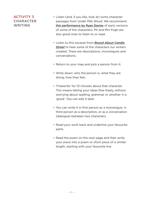#### ACTIVITY 3 CHARACTER WRITING

- Listen (and, if you like, look at) some character passages from Under Milk Wood. We recommend [this performance by Ryan Davies](https://www.bbc.co.uk/programmes/p021hzj7) of early versions of some of the characters. Mr and Mrs Pugh are also good ones to listen to or read.
- Listen to this excerpt from *[Round About Candle](https://www.youtube.com/watch?v=8mlP-teH5hc)  [Street](https://www.youtube.com/watch?v=8mlP-teH5hc)* to hear some of the characters our writers created. There are descriptions, monologues and conversations.
- Return to your map and pick a person from it.
- Write down: who the person is, what they are doing, how they feel.
- 'Freewrite' for 10 minutes about that character. This means letting your ideas flow freely, without worrying about spelling, grammar or whether it is 'good'. You can edit it later.
- You can write it in first person as a monologue, in third person as a description, or as a conversation (dialogue) between two characters.
- Read your work back and underline your favourite parts.
- Read the poem on the next page and then write your piece into a poem or short piece of a similar length, starting with your favourite line.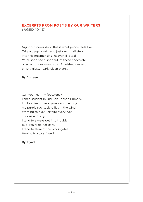#### EXCERPTS FROM POEMS BY OUR WRITERS (AGED 10-13)

Night but never dark, this is what peace feels like. Take a deep breath and just one small step into this mesmerising, heaven-like walk. You'll soon see a shop full of these chocolate or scrumptious mouthfuls. A finished dessert, empty glass, nearly clean plate…

#### By Amreen

Can you hear my footsteps? I am a student in Old Ben Jonson Primary. I'm Ibrahim but everyone calls me Ibby, my purple rucksack rallies in the wind. Wanting to play Fortnite every day, curious and silly, I tend to always get into trouble, but I really do not care. I tend to stare at the black gates Hoping to spy a friend…

#### By Riyad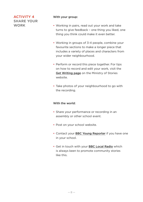#### ACTIVITY 4 SHARE YOUR **WORK**

#### With your group:

- Working in pairs, read out your work and take turns to give feedback – one thing you liked, one thing you think could make it even better.
- Working in groups of 3-4 people, combine your favourite sections to make a longer piece that includes a variety of places and characters from your wider neighbourhood.
- Perform or record this piece together. For tips on how to record and edit your work, visit the [Get Writing page](http://www.ministryofstories.org/top-tips-for-writing-scripts) on the Ministry of Stories website.
- Take photos of your neighbourhood to go with the recording.

#### With the world:

- Share your performance or recording in an assembly or other school event.
- Post on your school website.
- Contact your [BBC Young Reporter](https://www.bbc.co.uk/news/education-41001549) if you have one in your school.
- Get in touch with your [BBC Local Radio](https://www.bbc.co.uk/sounds/stations) which is always keen to promote community stories like this.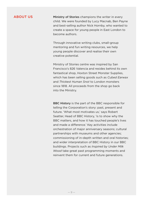#### ABOUT US

Ministry of Stories champions the writer in every child. We were founded by Lucy Macnab, Ben Payne and best-selling author Nick Hornby, who wanted to create a space for young people in East London to become authors.

Through innovative writing clubs, small-group mentoring and fun writing resources, we help young people discover and realise their own creative potential.

Ministry of Stories centre was inspired by San Francisco's 826 Valencia and resides behind its own fantastical shop, Hoxton Street Monster Supplies, which has been selling goods such as *Cubed Earwax* and *Thickest Human Snot* to London monsters since 1818. All proceeds from the shop go back into the Ministry.

BBC History is the part of the BBC responsible for telling the Corporation's story: past, present and future. 'What most motivates us,' says Robert Seatter, Head of BBC History, 'is to show why the BBC matters, and how it has touched people's lives and made a difference.' Key activities include orchestration of major anniversary seasons; cultural partnerships with museums and other agencies; commissioning of in-depth written and oral histories; and wider interpretation of BBC History in our BBC buildings. Projects such as *Inspired by Under Milk Wood* take great past programming moments and reinvent them for current and future generations.